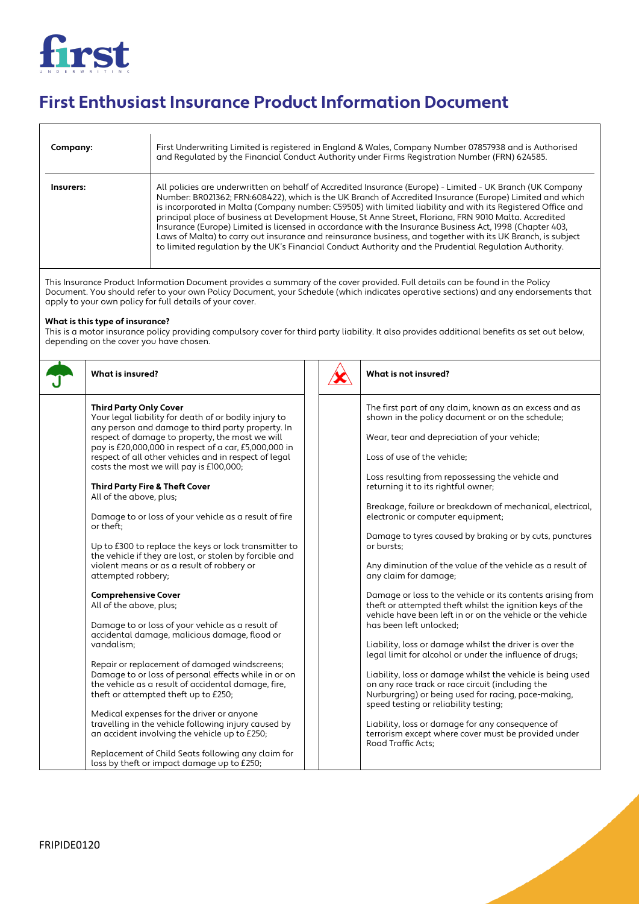

## **First Enthusiast Insurance Product Information Document**

| Company:  | First Underwriting Limited is registered in England & Wales, Company Number 07857938 and is Authorised<br>and Requlated by the Financial Conduct Authority under Firms Registration Number (FRN) 624585.                                                                                                                                                                                                                                                                                                                                                                                                                                                                                                                                                                             |
|-----------|--------------------------------------------------------------------------------------------------------------------------------------------------------------------------------------------------------------------------------------------------------------------------------------------------------------------------------------------------------------------------------------------------------------------------------------------------------------------------------------------------------------------------------------------------------------------------------------------------------------------------------------------------------------------------------------------------------------------------------------------------------------------------------------|
| Insurers: | All policies are underwritten on behalf of Accredited Insurance (Europe) - Limited - UK Branch (UK Company<br>Number: BR021362; FRN:608422), which is the UK Branch of Accredited Insurance (Europe) Limited and which<br>is incorporated in Malta (Company number: C59505) with limited liability and with its Registered Office and<br>principal place of business at Development House, St Anne Street, Floriana, FRN 9010 Malta. Accredited<br>Insurance (Europe) Limited is licensed in accordance with the Insurance Business Act, 1998 (Chapter 403,<br>Laws of Malta) to carry out insurance and reinsurance business, and together with its UK Branch, is subject<br>to limited regulation by the UK's Financial Conduct Authority and the Prudential Regulation Authority. |

This Insurance Product Information Document provides a summary of the cover provided. Full details can be found in the Policy Document. You should refer to your own Policy Document, your Schedule (which indicates operative sections) and any endorsements that apply to your own policy for full details of your cover.

## **What is this type of insurance?**

This is a motor insurance policy providing compulsory cover for third party liability. It also provides additional benefits as set out below, depending on the cover you have chosen.

| What is insured?                                                                                                                                                                                                                                                                                                                                                                                                                                                                                                                                                                                                                                                                                                                                                                                                                                                                                                                                                                                                                                                                                                                                                                                                                                                                                  |  | What is not insured?                                                                                                                                                                                                                                                                                                                                                                                                                                                                                                                                                                                                                                                                                                                                                                                                                                                                                                                                                                                                                                                                                                                                                                                                                               |
|---------------------------------------------------------------------------------------------------------------------------------------------------------------------------------------------------------------------------------------------------------------------------------------------------------------------------------------------------------------------------------------------------------------------------------------------------------------------------------------------------------------------------------------------------------------------------------------------------------------------------------------------------------------------------------------------------------------------------------------------------------------------------------------------------------------------------------------------------------------------------------------------------------------------------------------------------------------------------------------------------------------------------------------------------------------------------------------------------------------------------------------------------------------------------------------------------------------------------------------------------------------------------------------------------|--|----------------------------------------------------------------------------------------------------------------------------------------------------------------------------------------------------------------------------------------------------------------------------------------------------------------------------------------------------------------------------------------------------------------------------------------------------------------------------------------------------------------------------------------------------------------------------------------------------------------------------------------------------------------------------------------------------------------------------------------------------------------------------------------------------------------------------------------------------------------------------------------------------------------------------------------------------------------------------------------------------------------------------------------------------------------------------------------------------------------------------------------------------------------------------------------------------------------------------------------------------|
| <b>Third Party Only Cover</b><br>Your legal liability for death of or bodily injury to<br>any person and damage to third party property. In<br>respect of damage to property, the most we will<br>pay is £20,000,000 in respect of a car, £5,000,000 in<br>respect of all other vehicles and in respect of legal<br>costs the most we will pay is £100,000;<br><b>Third Party Fire &amp; Theft Cover</b><br>All of the above, plus;<br>Damage to or loss of your vehicle as a result of fire<br>or theft:<br>Up to £300 to replace the keys or lock transmitter to<br>the vehicle if they are lost, or stolen by forcible and<br>violent means or as a result of robbery or<br>attempted robbery;<br><b>Comprehensive Cover</b><br>All of the above, plus;<br>Damage to or loss of your vehicle as a result of<br>accidental damage, malicious damage, flood or<br>vandalism:<br>Repair or replacement of damaged windscreens;<br>Damage to or loss of personal effects while in or on<br>the vehicle as a result of accidental damage, fire,<br>theft or attempted theft up to £250;<br>Medical expenses for the driver or anyone<br>travelling in the vehicle following injury caused by<br>an accident involving the vehicle up to £250;<br>Replacement of Child Seats following any claim for |  | The first part of any claim, known as an excess and as<br>shown in the policy document or on the schedule;<br>Wear, tear and depreciation of your vehicle;<br>Loss of use of the vehicle;<br>Loss resulting from repossessing the vehicle and<br>returning it to its rightful owner;<br>Breakage, failure or breakdown of mechanical, electrical,<br>electronic or computer equipment;<br>Damage to tyres caused by braking or by cuts, punctures<br>or bursts:<br>Any diminution of the value of the vehicle as a result of<br>any claim for damage;<br>Damage or loss to the vehicle or its contents arising from<br>theft or attempted theft whilst the ignition keys of the<br>vehicle have been left in or on the vehicle or the vehicle<br>has been left unlocked;<br>Liability, loss or damage whilst the driver is over the<br>legal limit for alcohol or under the influence of drugs;<br>Liability, loss or damage whilst the vehicle is being used<br>on any race track or race circuit (including the<br>Nurburgring) or being used for racing, pace-making,<br>speed testing or reliability testing;<br>Liability, loss or damage for any consequence of<br>terrorism except where cover must be provided under<br>Road Traffic Acts: |
| loss by theft or impact damage up to £250;                                                                                                                                                                                                                                                                                                                                                                                                                                                                                                                                                                                                                                                                                                                                                                                                                                                                                                                                                                                                                                                                                                                                                                                                                                                        |  |                                                                                                                                                                                                                                                                                                                                                                                                                                                                                                                                                                                                                                                                                                                                                                                                                                                                                                                                                                                                                                                                                                                                                                                                                                                    |